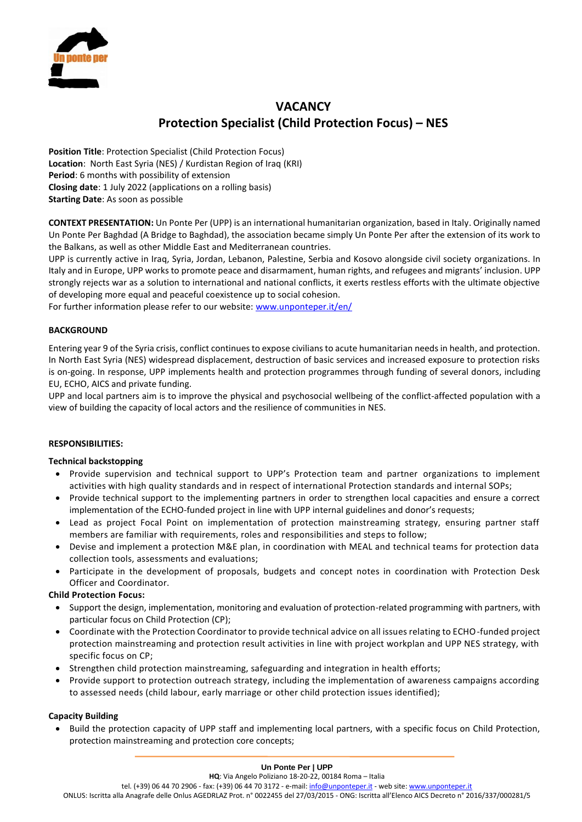

# **VACANCY Protection Specialist (Child Protection Focus) – NES**

**Position Title**: Protection Specialist (Child Protection Focus) **Location**: North East Syria (NES) / Kurdistan Region of Iraq (KRI) **Period**: 6 months with possibility of extension **Closing date**: 1 July 2022 (applications on a rolling basis) **Starting Date**: As soon as possible

**CONTEXT PRESENTATION:** Un Ponte Per (UPP) is an international humanitarian organization, based in Italy. Originally named Un Ponte Per Baghdad (A Bridge to Baghdad), the association became simply Un Ponte Per after the extension of its work to the Balkans, as well as other Middle East and Mediterranean countries.

UPP is currently active in Iraq, Syria, Jordan, Lebanon, Palestine, Serbia and Kosovo alongside civil society organizations. In Italy and in Europe, UPP works to promote peace and disarmament, human rights, and refugees and migrants' inclusion. UPP strongly rejects war as a solution to international and national conflicts, it exerts restless efforts with the ultimate objective of developing more equal and peaceful coexistence up to social cohesion.

For further information please refer to our website[: www.unponteper.it/en/](https://www.unponteper.it/en/) 

# **BACKGROUND**

Entering year 9 of the Syria crisis, conflict continues to expose civilians to acute humanitarian needs in health, and protection. In North East Syria (NES) widespread displacement, destruction of basic services and increased exposure to protection risks is on-going. In response, UPP implements health and protection programmes through funding of several donors, including EU, ECHO, AICS and private funding.

UPP and local partners aim is to improve the physical and psychosocial wellbeing of the conflict-affected population with a view of building the capacity of local actors and the resilience of communities in NES.

# **RESPONSIBILITIES:**

# **Technical backstopping**

- Provide supervision and technical support to UPP's Protection team and partner organizations to implement activities with high quality standards and in respect of international Protection standards and internal SOPs;
- Provide technical support to the implementing partners in order to strengthen local capacities and ensure a correct implementation of the ECHO-funded project in line with UPP internal guidelines and donor's requests;
- Lead as project Focal Point on implementation of protection mainstreaming strategy, ensuring partner staff members are familiar with requirements, roles and responsibilities and steps to follow;
- Devise and implement a protection M&E plan, in coordination with MEAL and technical teams for protection data collection tools, assessments and evaluations;
- Participate in the development of proposals, budgets and concept notes in coordination with Protection Desk Officer and Coordinator.

# **Child Protection Focus:**

- Support the design, implementation, monitoring and evaluation of protection-related programming with partners, with particular focus on Child Protection (CP);
- Coordinate with the Protection Coordinator to provide technical advice on all issues relating to ECHO-funded project protection mainstreaming and protection result activities in line with project workplan and UPP NES strategy, with specific focus on CP;
- Strengthen child protection mainstreaming, safeguarding and integration in health efforts;
- Provide support to protection outreach strategy, including the implementation of awareness campaigns according to assessed needs (child labour, early marriage or other child protection issues identified);

# **Capacity Building**

• Build the protection capacity of UPP staff and implementing local partners, with a specific focus on Child Protection, protection mainstreaming and protection core concepts;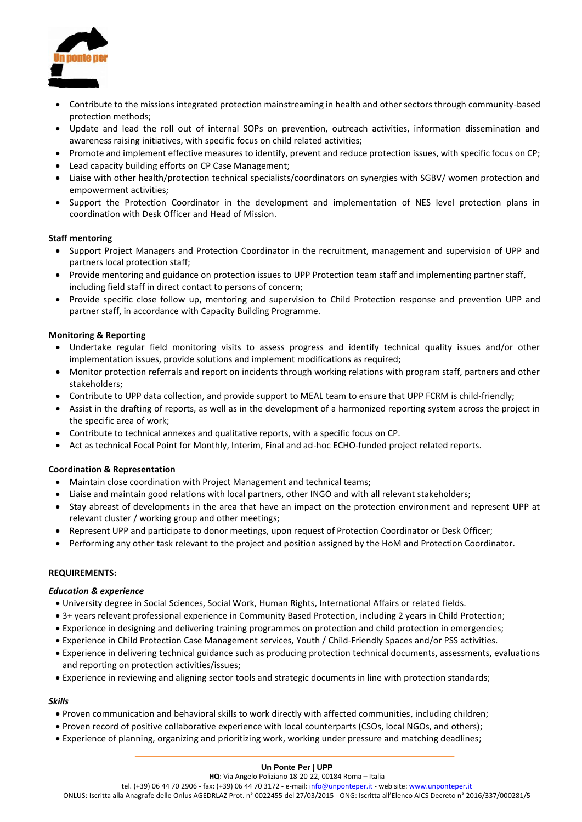

- Contribute to the missions integrated protection mainstreaming in health and other sectors through community-based protection methods;
- Update and lead the roll out of internal SOPs on prevention, outreach activities, information dissemination and awareness raising initiatives, with specific focus on child related activities;
- Promote and implement effective measures to identify, prevent and reduce protection issues, with specific focus on CP;
- Lead capacity building efforts on CP Case Management;
- Liaise with other health/protection technical specialists/coordinators on synergies with SGBV/ women protection and empowerment activities;
- Support the Protection Coordinator in the development and implementation of NES level protection plans in coordination with Desk Officer and Head of Mission.

# **Staff mentoring**

- Support Project Managers and Protection Coordinator in the recruitment, management and supervision of UPP and partners local protection staff;
- Provide mentoring and guidance on protection issues to UPP Protection team staff and implementing partner staff, including field staff in direct contact to persons of concern;
- Provide specific close follow up, mentoring and supervision to Child Protection response and prevention UPP and partner staff, in accordance with Capacity Building Programme.

# **Monitoring & Reporting**

- Undertake regular field monitoring visits to assess progress and identify technical quality issues and/or other implementation issues, provide solutions and implement modifications as required;
- Monitor protection referrals and report on incidents through working relations with program staff, partners and other stakeholders;
- Contribute to UPP data collection, and provide support to MEAL team to ensure that UPP FCRM is child-friendly;
- Assist in the drafting of reports, as well as in the development of a harmonized reporting system across the project in the specific area of work;
- Contribute to technical annexes and qualitative reports, with a specific focus on CP.
- Act as technical Focal Point for Monthly, Interim, Final and ad-hoc ECHO-funded project related reports.

#### **Coordination & Representation**

- Maintain close coordination with Project Management and technical teams;
- Liaise and maintain good relations with local partners, other INGO and with all relevant stakeholders;
- Stay abreast of developments in the area that have an impact on the protection environment and represent UPP at relevant cluster / working group and other meetings;
- Represent UPP and participate to donor meetings, upon request of Protection Coordinator or Desk Officer;
- Performing any other task relevant to the project and position assigned by the HoM and Protection Coordinator.

#### **REQUIREMENTS:**

#### *Education & experience*

- University degree in Social Sciences, Social Work, Human Rights, International Affairs or related fields.
- 3+ years relevant professional experience in Community Based Protection, including 2 years in Child Protection;
- Experience in designing and delivering training programmes on protection and child protection in emergencies;
- Experience in Child Protection Case Management services, Youth / Child-Friendly Spaces and/or PSS activities.
- Experience in delivering technical guidance such as producing protection technical documents, assessments, evaluations and reporting on protection activities/issues;
- Experience in reviewing and aligning sector tools and strategic documents in line with protection standards;

# *Skills*

- Proven communication and behavioral skills to work directly with affected communities, including children;
- Proven record of positive collaborative experience with local counterparts (CSOs, local NGOs, and others);
- Experience of planning, organizing and prioritizing work, working under pressure and matching deadlines;

#### **Un Ponte Per | UPP**

tel. (+39) 06 44 70 2906 - fax: (+39) 06 44 70 3172 - e-mail[: info@unponteper.it](mailto:info@unponteper.it) - web site[: www.unponteper.it](http://www.unponteper.it/)

ONLUS: Iscritta alla Anagrafe delle Onlus AGEDRLAZ Prot. n° 0022455 del 27/03/2015 - ONG: Iscritta all'Elenco AICS Decreto n° 2016/337/000281/5